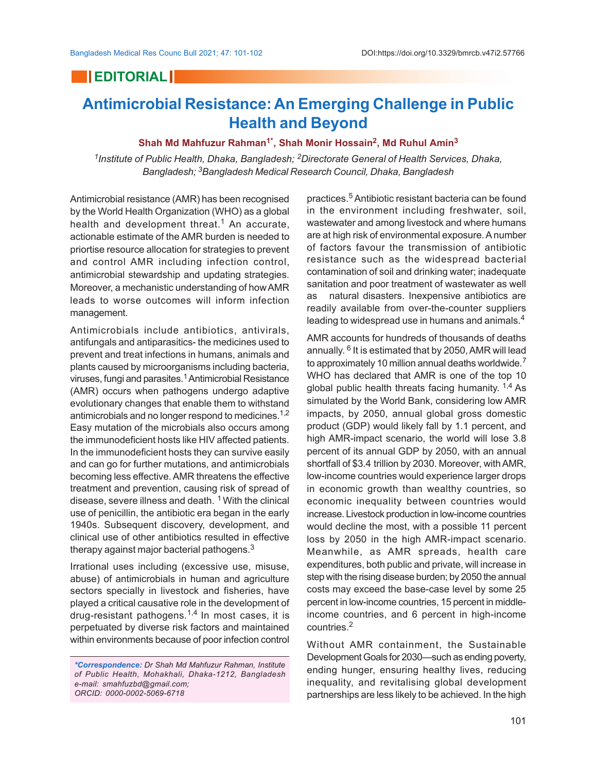## **EDITORIAL**

## **Antimicrobial Resistance: An Emerging Challenge in Public Health and Beyond**

## **Shah Md Mahfuzur Rahman1\*, Shah Monir Hossain<sup>2</sup> , Md Ruhul Amin<sup>3</sup>**

*1 Institute of Public Health, Dhaka, Bangladesh; 2Directorate General of Health Services, Dhaka, Bangladesh; 3Bangladesh Medical Research Council, Dhaka, Bangladesh*

Antimicrobial resistance (AMR) has been recognised by the World Health Organization (WHO) as a global health and development threat.<sup>1</sup> An accurate, actionable estimate of the AMR burden is needed to priortise resource allocation for strategies to prevent and control AMR including infection control, antimicrobial stewardship and updating strategies. Moreover, a mechanistic understanding of how AMR leads to worse outcomes will inform infection management.

Antimicrobials include antibiotics, antivirals, antifungals and antiparasitics- the medicines used to prevent and treat infections in humans, animals and plants caused by microorganisms including bacteria, viruses, fungi and parasites.<sup>1</sup> Antimicrobial Resistance (AMR) occurs when pathogens undergo adaptive evolutionary changes that enable them to withstand antimicrobials and no longer respond to medicines.<sup>1,2</sup> Easy mutation of the microbials also occurs among the immunodeficient hosts like HIV affected patients. In the immunodeficient hosts they can survive easily and can go for further mutations, and antimicrobials becoming less effective. AMR threatens the effective treatment and prevention, causing risk of spread of disease, severe illness and death. <sup>1</sup> With the clinical use of penicillin, the antibiotic era began in the early 1940s. Subsequent discovery, development, and clinical use of other antibiotics resulted in effective therapy against major bacterial pathogens. $3$ 

Irrational uses including (excessive use, misuse, abuse) of antimicrobials in human and agriculture sectors specially in livestock and fisheries, have played a critical causative role in the development of drug-resistant pathogens.<sup>1,4</sup> In most cases, it is perpetuated by diverse risk factors and maintained within environments because of poor infection control

practices.5 Antibiotic resistant bacteria can be found in the environment including freshwater, soil, wastewater and among livestock and where humans are at high risk of environmental exposure. A number of factors favour the transmission of antibiotic resistance such as the widespread bacterial contamination of soil and drinking water; inadequate sanitation and poor treatment of wastewater as well as natural disasters. Inexpensive antibiotics are readily available from over-the-counter suppliers leading to widespread use in humans and animals.<sup>4</sup>

AMR accounts for hundreds of thousands of deaths annually. <sup>6</sup> It is estimated that by 2050, AMR will lead to approximately 10 million annual deaths worldwide.<sup>7</sup> WHO has declared that AMR is one of the top 10 global public health threats facing humanity. <sup>1,4</sup> As simulated by the World Bank, considering low AMR impacts, by 2050, annual global gross domestic product (GDP) would likely fall by 1.1 percent, and high AMR-impact scenario, the world will lose 3.8 percent of its annual GDP by 2050, with an annual shortfall of \$3.4 trillion by 2030. Moreover, with AMR, low-income countries would experience larger drops in economic growth than wealthy countries, so economic inequality between countries would increase. Livestock production in low-income countries would decline the most, with a possible 11 percent loss by 2050 in the high AMR-impact scenario. Meanwhile, as AMR spreads, health care expenditures, both public and private, will increase in step with the rising disease burden; by 2050 the annual costs may exceed the base-case level by some 25 percent in low-income countries, 15 percent in middleincome countries, and 6 percent in high-income countries.<sup>2</sup>

Without AMR containment, the Sustainable Development Goals for 2030—such as ending poverty, ending hunger, ensuring healthy lives, reducing inequality, and revitalising global development partnerships are less likely to be achieved. In the high

*<sup>\*</sup>Correspondence: Dr Shah Md Mahfuzur Rahman, Institute of Public Health, Mohakhali, Dhaka-1212, Bangladesh e-mail: smahfuzbd@gmail.com; ORCID: 0000-0002-5069-6718*